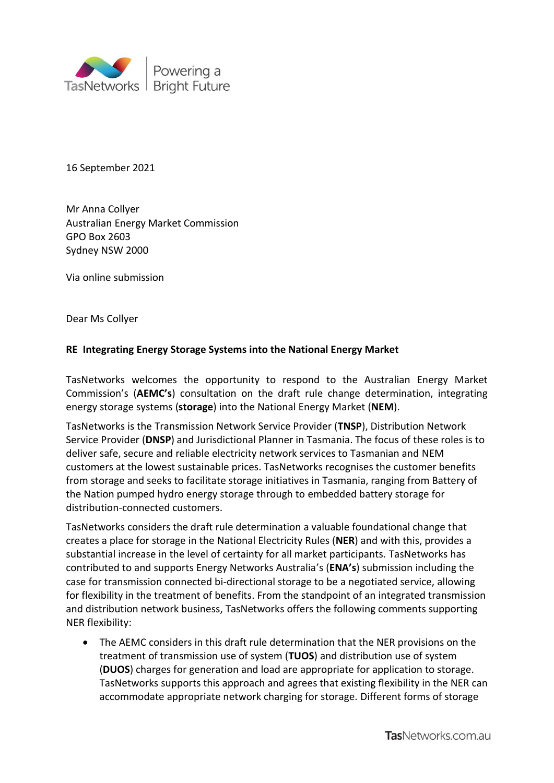

16 September 2021

Mr Anna Collyer Australian Energy Market Commission GPO Box 2603 Sydney NSW 2000

Via online submission

Dear Ms Collyer

## **RE Integrating Energy Storage Systems into the National Energy Market**

TasNetworks welcomes the opportunity to respond to the Australian Energy Market Commission's (**AEMC's**) consultation on the draft rule change determination, integrating energy storage systems (**storage**) into the National Energy Market (**NEM**).

TasNetworks is the Transmission Network Service Provider (**TNSP**), Distribution Network Service Provider (**DNSP**) and Jurisdictional Planner in Tasmania. The focus of these roles is to deliver safe, secure and reliable electricity network services to Tasmanian and NEM customers at the lowest sustainable prices. TasNetworks recognises the customer benefits from storage and seeks to facilitate storage initiatives in Tasmania, ranging from Battery of the Nation pumped hydro energy storage through to embedded battery storage for distribution-connected customers.

TasNetworks considers the draft rule determination a valuable foundational change that creates a place for storage in the National Electricity Rules (**NER**) and with this, provides a substantial increase in the level of certainty for all market participants. TasNetworks has contributed to and supports Energy Networks Australia's (**ENA's**) submission including the case for transmission connected bi-directional storage to be a negotiated service, allowing for flexibility in the treatment of benefits. From the standpoint of an integrated transmission and distribution network business, TasNetworks offers the following comments supporting NER flexibility:

 The AEMC considers in this draft rule determination that the NER provisions on the treatment of transmission use of system (**TUOS**) and distribution use of system (**DUOS**) charges for generation and load are appropriate for application to storage. TasNetworks supports this approach and agrees that existing flexibility in the NER can accommodate appropriate network charging for storage. Different forms of storage